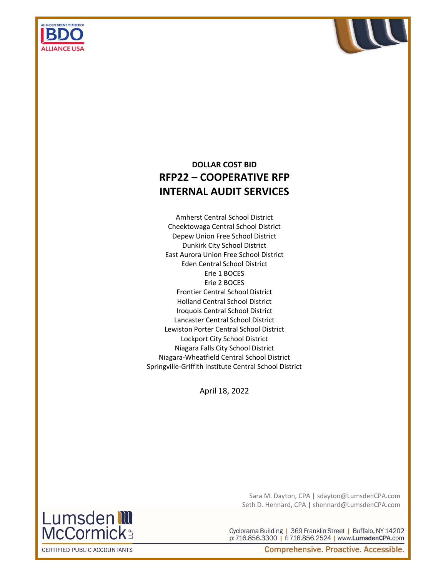



# **DOLLAR COST BID RFP22 – COOPERATIVE RFP INTERNAL AUDIT SERVICES**

Amherst Central School District Cheektowaga Central School District Depew Union Free School District Dunkirk City School District East Aurora Union Free School District Eden Central School District Erie 1 BOCES Erie 2 BOCES Frontier Central School District Holland Central School District Iroquois Central School District Lancaster Central School District Lewiston Porter Central School District Lockport City School District Niagara Falls City School District Niagara‐Wheatfield Central School District Springville‐Griffith Institute Central School District

April 18, 2022

Sara M. Dayton, CPA **|** sdayton@LumsdenCPA.com Seth D. Hennard, CPA **|** shennard@LumsdenCPA.com

Cyclorama Building | 369 Franklin Street | Buffalo, NY 14202 p: 716.856.3300 | f: 716.856.2524 | www.LumsdenCPA.com

CERTIFIED PUBLIC ACCOUNTANTS

Lumsden **III**<br>McCormick

**Comprehensive. Proactive. Accessible.**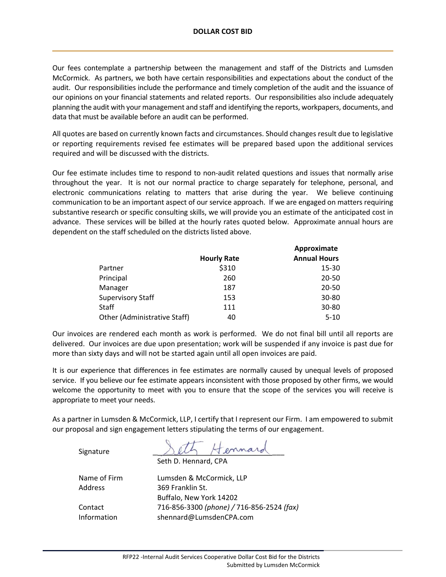Our fees contemplate a partnership between the management and staff of the Districts and Lumsden McCormick. As partners, we both have certain responsibilities and expectations about the conduct of the audit. Our responsibilities include the performance and timely completion of the audit and the issuance of our opinions on your financial statements and related reports. Our responsibilities also include adequately planning the audit with your management and staff and identifying the reports, workpapers, documents, and data that must be available before an audit can be performed.

All quotes are based on currently known facts and circumstances. Should changes result due to legislative or reporting requirements revised fee estimates will be prepared based upon the additional services required and will be discussed with the districts.

Our fee estimate includes time to respond to non‐audit related questions and issues that normally arise throughout the year. It is not our normal practice to charge separately for telephone, personal, and electronic communications relating to matters that arise during the year. We believe continuing communication to be an important aspect of our service approach. If we are engaged on matters requiring substantive research or specific consulting skills, we will provide you an estimate of the anticipated cost in advance. These services will be billed at the hourly rates quoted below. Approximate annual hours are dependent on the staff scheduled on the districts listed above.

|                              |                    | Approximate         |
|------------------------------|--------------------|---------------------|
|                              | <b>Hourly Rate</b> | <b>Annual Hours</b> |
| Partner                      | \$310              | 15-30               |
| Principal                    | 260                | 20-50               |
| Manager                      | 187                | 20-50               |
| <b>Supervisory Staff</b>     | 153                | 30-80               |
| <b>Staff</b>                 | 111                | 30-80               |
| Other (Administrative Staff) | 40                 | $5 - 10$            |

Our invoices are rendered each month as work is performed. We do not final bill until all reports are delivered. Our invoices are due upon presentation; work will be suspended if any invoice is past due for more than sixty days and will not be started again until all open invoices are paid.

It is our experience that differences in fee estimates are normally caused by unequal levels of proposed service. If you believe our fee estimate appears inconsistent with those proposed by other firms, we would welcome the opportunity to meet with you to ensure that the scope of the services you will receive is appropriate to meet your needs.

As a partner in Lumsden & McCormick, LLP, I certify that I represent our Firm. I am empowered to submit our proposal and sign engagement letters stipulating the terms of our engagement.

Signature

Seth D. Hennard, CPA

Name of Firm Lumsden & McCormick, LLP Address 369 Franklin St. Buffalo, New York 14202 Contact 716‐856‐3300 *(phone) /* 716‐856‐2524 *(fax)* Information shennard@LumsdenCPA.com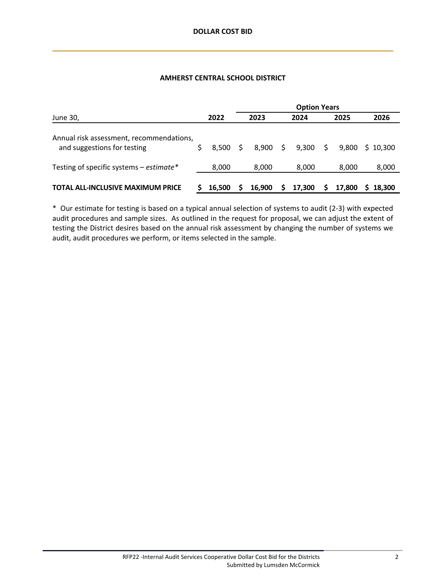## **AMHERST CENTRAL SCHOOL DISTRICT**

|                                                                         |        |    | <b>Option Years</b> |                     |        |    |        |          |  |  |  |  |
|-------------------------------------------------------------------------|--------|----|---------------------|---------------------|--------|----|--------|----------|--|--|--|--|
| June 30,                                                                | 2022   |    | 2023                |                     | 2024   |    | 2025   | 2026     |  |  |  |  |
| Annual risk assessment, recommendations,<br>and suggestions for testing | 8.500  | -S | 8,900               | $\ddot{\mathsf{s}}$ | 9,300  | S. | 9.800  | S 10.300 |  |  |  |  |
| Testing of specific systems $-$ estimate*                               | 8,000  |    | 8,000               |                     | 8,000  |    | 8,000  | 8,000    |  |  |  |  |
| <b>TOTAL ALL-INCLUSIVE MAXIMUM PRICE</b>                                | 16.500 | s  | 16,900              | S                   | 17,300 |    | 17.800 | 18.300   |  |  |  |  |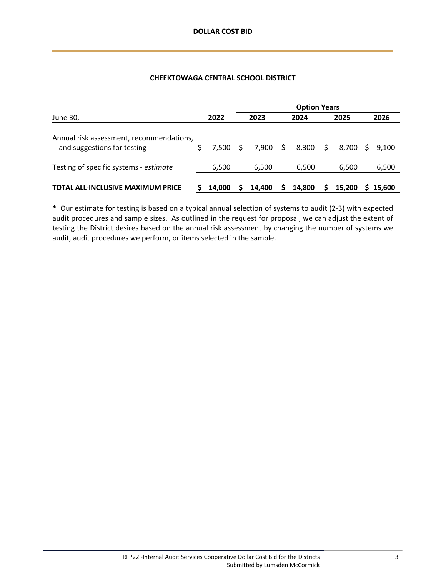# **CHEEKTOWAGA CENTRAL SCHOOL DISTRICT**

|                                                                         |        | <b>Option Years</b> |          |   |        |    |        |           |          |  |  |
|-------------------------------------------------------------------------|--------|---------------------|----------|---|--------|----|--------|-----------|----------|--|--|
| June 30,                                                                | 2022   |                     | 2023     |   | 2024   |    | 2025   |           | 2026     |  |  |
| Annual risk assessment, recommendations,<br>and suggestions for testing | 7.500  | S.                  | 7,900 \$ |   | 8,300  | \$ | 8.700  | $\sim$ \$ | 9.100    |  |  |
| Testing of specific systems - estimate                                  | 6,500  |                     | 6,500    |   | 6,500  |    | 6,500  |           | 6,500    |  |  |
| <b>TOTAL ALL-INCLUSIVE MAXIMUM PRICE</b>                                | 14.000 |                     | 14.400   | S | 14,800 | S  | 15.200 |           | S 15,600 |  |  |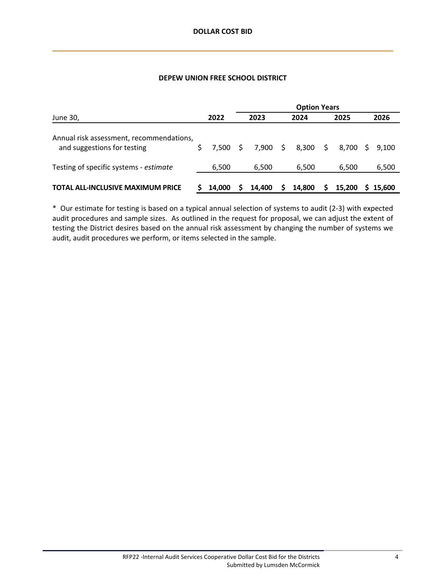#### **DEPEW UNION FREE SCHOOL DISTRICT**

|                                                                         |        |    | <b>Option Years</b> |      |        |      |        |           |          |  |  |
|-------------------------------------------------------------------------|--------|----|---------------------|------|--------|------|--------|-----------|----------|--|--|
| June 30,                                                                | 2022   |    | 2023                | 2024 |        | 2025 |        |           | 2026     |  |  |
| Annual risk assessment, recommendations,<br>and suggestions for testing | 7.500  | S. | 7,900 \$            |      | 8,300  | \$   | 8.700  | $\sim$ \$ | 9.100    |  |  |
| Testing of specific systems - estimate                                  | 6,500  |    | 6,500               |      | 6,500  |      | 6,500  |           | 6,500    |  |  |
| <b>TOTAL ALL-INCLUSIVE MAXIMUM PRICE</b>                                | 14.000 |    | 14.400              | S    | 14,800 | S    | 15.200 |           | S 15,600 |  |  |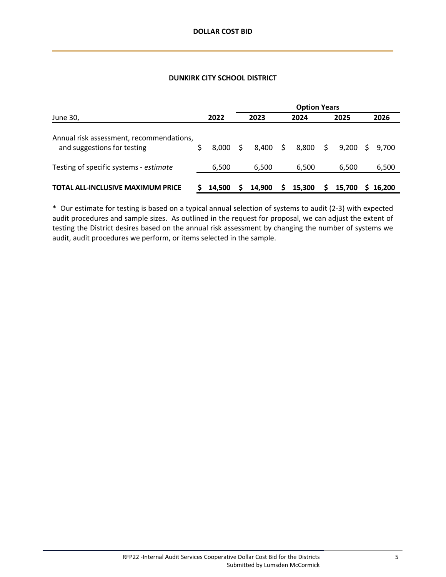#### **DUNKIRK CITY SCHOOL DISTRICT**

|                                                                         |        |    | <b>Option Years</b> |     |        |    |        |   |         |  |  |
|-------------------------------------------------------------------------|--------|----|---------------------|-----|--------|----|--------|---|---------|--|--|
| June 30,                                                                | 2022   |    | 2023                |     | 2024   |    | 2025   |   | 2026    |  |  |
| Annual risk assessment, recommendations,<br>and suggestions for testing | 8,000  | -S | 8,400               | -\$ | 8,800  | S. | 9.200  |   | S 9.700 |  |  |
| Testing of specific systems - estimate                                  | 6,500  |    | 6,500               |     | 6,500  |    | 6,500  |   | 6,500   |  |  |
| <b>TOTAL ALL-INCLUSIVE MAXIMUM PRICE</b>                                | 14.500 |    | 14,900              | S   | 15,300 | S  | 15.700 | S | 16.200  |  |  |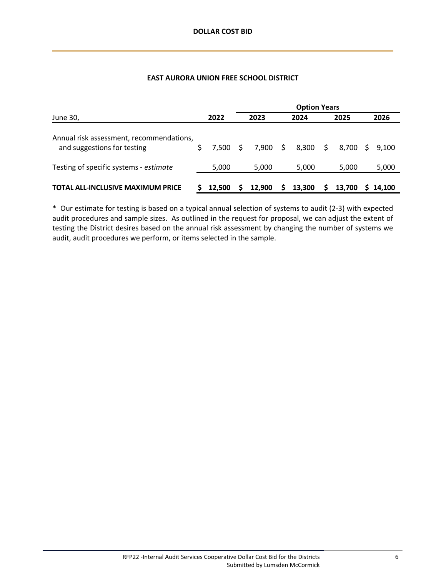## **EAST AURORA UNION FREE SCHOOL DISTRICT**

|                                                                         |        |    | <b>Option Years</b> |   |        |                     |                |  |          |  |  |  |
|-------------------------------------------------------------------------|--------|----|---------------------|---|--------|---------------------|----------------|--|----------|--|--|--|
| June 30,                                                                | 2022   |    | 2023                |   | 2024   |                     | 2025           |  | 2026     |  |  |  |
| Annual risk assessment, recommendations,<br>and suggestions for testing | 7.500  | S. | 7,900 \$            |   | 8,300  | $\ddot{\mathsf{S}}$ | 8,700 \$ 9,100 |  |          |  |  |  |
| Testing of specific systems - estimate                                  | 5,000  |    | 5,000               |   | 5,000  |                     | 5,000          |  | 5,000    |  |  |  |
| <b>TOTAL ALL-INCLUSIVE MAXIMUM PRICE</b>                                | 12.500 | S. | 12.900              | S | 13,300 | S                   | 13.700         |  | S 14.100 |  |  |  |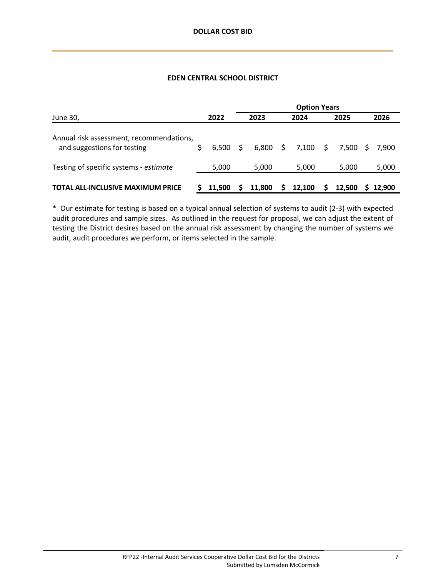## **EDEN CENTRAL SCHOOL DISTRICT**

|                                                                         |        |     | <b>Option Years</b> |   |                    |      |                |  |        |  |
|-------------------------------------------------------------------------|--------|-----|---------------------|---|--------------------|------|----------------|--|--------|--|
| June 30,                                                                | 2022   |     | 2023                |   | 2024               |      | 2025           |  | 2026   |  |
| Annual risk assessment, recommendations,<br>and suggestions for testing | 6.500  | - S |                     |   | $6,800 \div 7,100$ | - \$ | 7,500 \$ 7,900 |  |        |  |
| Testing of specific systems - estimate                                  | 5,000  |     | 5,000               |   | 5,000              |      | 5,000          |  | 5,000  |  |
| <b>TOTAL ALL-INCLUSIVE MAXIMUM PRICE</b>                                | 11.500 | S   | 11.800              | S | 12.100             | S    | 12.500         |  | 12.900 |  |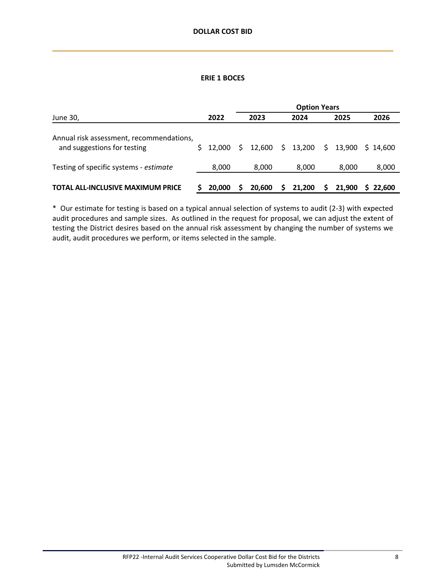#### **ERIE 1 BOCES**

|                                                                         |                  |    | <b>Option Years</b> |   |          |     |        |          |  |  |  |  |
|-------------------------------------------------------------------------|------------------|----|---------------------|---|----------|-----|--------|----------|--|--|--|--|
| June 30,                                                                | 2022             |    | 2023                |   | 2024     |     | 2025   | 2026     |  |  |  |  |
| Annual risk assessment, recommendations,<br>and suggestions for testing | $5 \quad 12.000$ | S. | 12,600              |   | \$13,200 | \$. | 13,900 | S 14.600 |  |  |  |  |
| Testing of specific systems - estimate                                  | 8,000            |    | 8,000               |   | 8,000    |     | 8,000  | 8,000    |  |  |  |  |
| <b>TOTAL ALL-INCLUSIVE MAXIMUM PRICE</b>                                | 20,000           | S  | 20.600              | S | 21.200   | S   | 21.900 | 22.600   |  |  |  |  |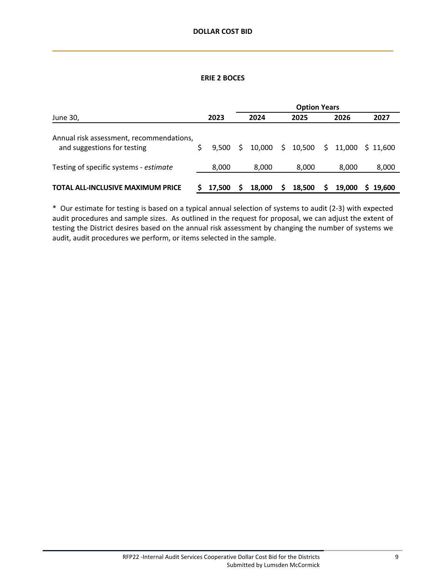#### **ERIE 2 BOCES**

|                                                                         |      |        |    | <b>Option Years</b> |     |        |    |        |             |  |  |  |
|-------------------------------------------------------------------------|------|--------|----|---------------------|-----|--------|----|--------|-------------|--|--|--|
| June 30,                                                                | 2023 |        |    | 2024                |     | 2025   |    | 2026   | 2027        |  |  |  |
| Annual risk assessment, recommendations,<br>and suggestions for testing |      | 9.500  | Ŝ. | 10,000              | \$. | 10,500 | \$ | 11.000 | S 11.600    |  |  |  |
| Testing of specific systems - estimate                                  |      | 8,000  |    | 8,000               |     | 8,000  |    | 8,000  | 8,000       |  |  |  |
| <b>TOTAL ALL-INCLUSIVE MAXIMUM PRICE</b>                                |      | 17.500 | S  | 18.000              | S   | 18,500 | S  | 19.000 | S<br>19.600 |  |  |  |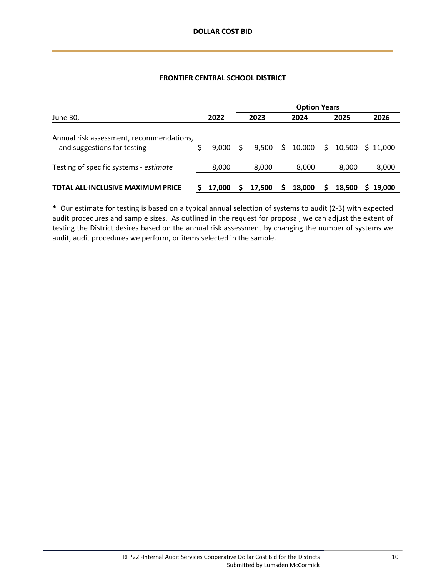#### **FRONTIER CENTRAL SCHOOL DISTRICT**

|                                                                         |        |    | <b>Option Years</b> |      |        |     |        |             |  |  |  |
|-------------------------------------------------------------------------|--------|----|---------------------|------|--------|-----|--------|-------------|--|--|--|
| June 30,                                                                | 2022   |    | 2023                | 2024 |        |     | 2025   | 2026        |  |  |  |
| Annual risk assessment, recommendations,<br>and suggestions for testing | 9.000  | -Ŝ | 9,500               | \$   | 10,000 | \$. | 10.500 | S 11.000    |  |  |  |
| Testing of specific systems - estimate                                  | 8,000  |    | 8,000               |      | 8,000  |     | 8,000  | 8,000       |  |  |  |
| <b>TOTAL ALL-INCLUSIVE MAXIMUM PRICE</b>                                | 17.000 | S  | 17.500              | S    | 18,000 | S   | 18.500 | S<br>19.000 |  |  |  |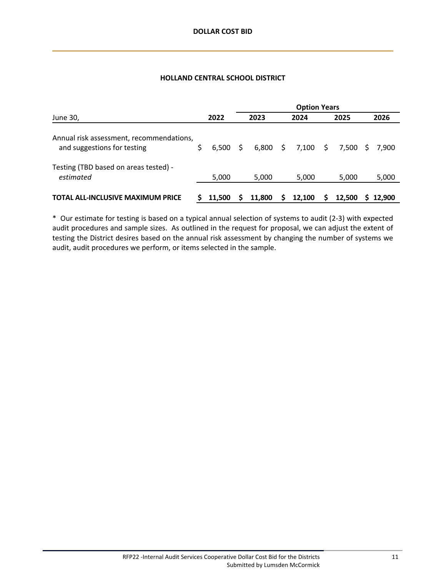#### **HOLLAND CENTRAL SCHOOL DISTRICT**

|                                                                         |        |    | <b>Option Years</b> |                |        |     |        |    |          |  |
|-------------------------------------------------------------------------|--------|----|---------------------|----------------|--------|-----|--------|----|----------|--|
| June 30,                                                                | 2022   |    | 2023                |                | 2024   |     | 2025   |    | 2026     |  |
| Annual risk assessment, recommendations,<br>and suggestions for testing | 6.500  | Ŝ. | 6,800               | $\ddot{\zeta}$ | 7,100  | \$. | 7.500  | S. | 7.900    |  |
| Testing (TBD based on areas tested) -<br>estimated                      | 5,000  |    | 5,000               |                | 5,000  |     | 5,000  |    | 5,000    |  |
| <b>TOTAL ALL-INCLUSIVE MAXIMUM PRICE</b>                                | 11.500 |    | 11.800              | S              | 12,100 | S   | 12,500 |    | S 12.900 |  |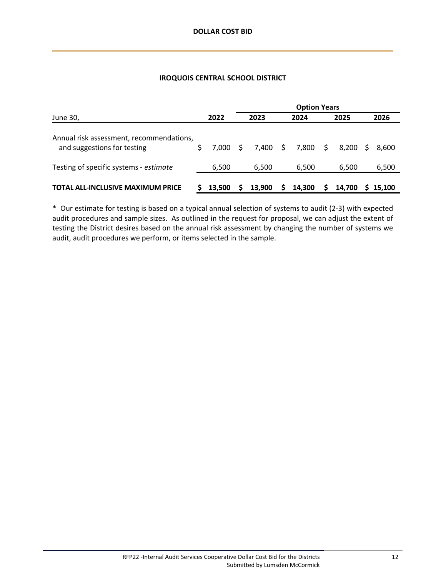#### **IROQUOIS CENTRAL SCHOOL DISTRICT**

|                                                                         |        |    | <b>Option Years</b> |   |        |    |        |    |          |  |  |  |
|-------------------------------------------------------------------------|--------|----|---------------------|---|--------|----|--------|----|----------|--|--|--|
| June 30,                                                                | 2022   |    | 2023                |   | 2024   |    | 2025   |    | 2026     |  |  |  |
| Annual risk assessment, recommendations,<br>and suggestions for testing | 7.000  | S. | 7,400 \$            |   | 7,800  | \$ | 8.200  | -S | 8.600    |  |  |  |
| Testing of specific systems - estimate                                  | 6,500  |    | 6,500               |   | 6,500  |    | 6,500  |    | 6,500    |  |  |  |
| <b>TOTAL ALL-INCLUSIVE MAXIMUM PRICE</b>                                | 13.500 | S. | 13.900              | S | 14,300 | S  | 14.700 |    | S 15.100 |  |  |  |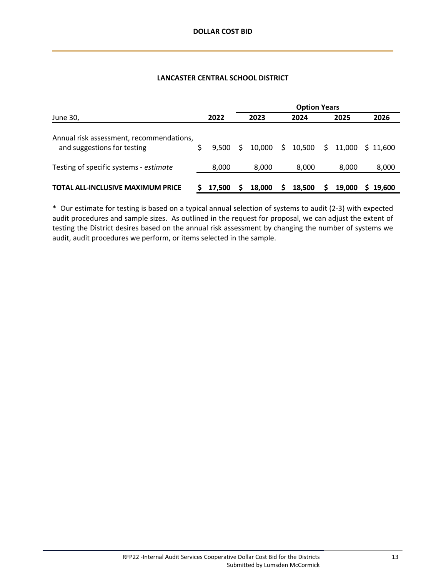#### **LANCASTER CENTRAL SCHOOL DISTRICT**

|                                                                         |      |        | <b>Option Years</b> |        |     |        |    |        |             |  |  |  |
|-------------------------------------------------------------------------|------|--------|---------------------|--------|-----|--------|----|--------|-------------|--|--|--|
| June 30,                                                                | 2022 |        |                     | 2023   |     | 2024   |    | 2025   | 2026        |  |  |  |
| Annual risk assessment, recommendations,<br>and suggestions for testing |      | 9.500  | Ŝ.                  | 10,000 | \$. | 10,500 | \$ | 11.000 | S 11.600    |  |  |  |
| Testing of specific systems - estimate                                  |      | 8,000  |                     | 8,000  |     | 8,000  |    | 8,000  | 8,000       |  |  |  |
| <b>TOTAL ALL-INCLUSIVE MAXIMUM PRICE</b>                                |      | 17.500 | S                   | 18.000 | S   | 18,500 | S  | 19.000 | S<br>19.600 |  |  |  |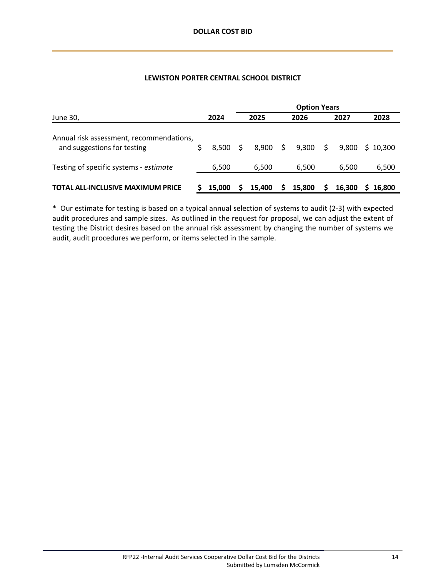# **LEWISTON PORTER CENTRAL SCHOOL DISTRICT**

|                                                                         |      |        | <b>Option Years</b> |        |    |        |    |        |             |  |  |  |
|-------------------------------------------------------------------------|------|--------|---------------------|--------|----|--------|----|--------|-------------|--|--|--|
| June 30,                                                                | 2024 |        | 2025                |        |    | 2026   |    | 2027   | 2028        |  |  |  |
| Annual risk assessment, recommendations,<br>and suggestions for testing |      | 8.500  | -S                  | 8,900  | \$ | 9,300  | S. | 9.800  | S 10.300    |  |  |  |
| Testing of specific systems - estimate                                  |      | 6,500  |                     | 6,500  |    | 6,500  |    | 6,500  | 6,500       |  |  |  |
| <b>TOTAL ALL-INCLUSIVE MAXIMUM PRICE</b>                                |      | 15,000 | S                   | 15.400 |    | 15,800 | S  | 16.300 | S<br>16.800 |  |  |  |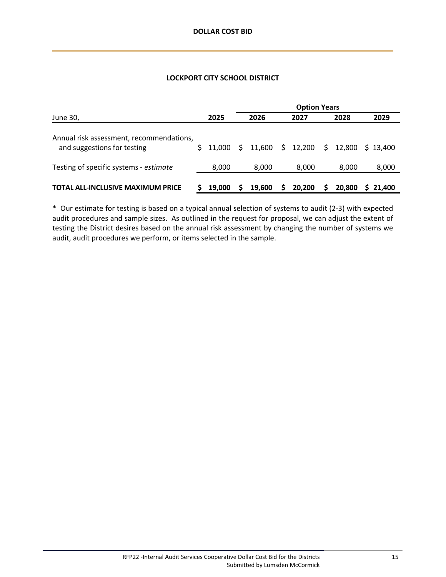#### **LOCKPORT CITY SCHOOL DISTRICT**

|                                                                         |      |                  | <b>Option Years</b> |        |  |          |   |          |              |  |  |  |
|-------------------------------------------------------------------------|------|------------------|---------------------|--------|--|----------|---|----------|--------------|--|--|--|
| June 30,                                                                | 2025 |                  |                     | 2026   |  | 2027     |   | 2028     | 2029         |  |  |  |
| Annual risk assessment, recommendations,<br>and suggestions for testing |      | $5 \quad 11.000$ | S.                  | 11,600 |  | \$12,200 |   | \$12,800 | \$13.400     |  |  |  |
| Testing of specific systems - estimate                                  |      | 8,000            |                     | 8,000  |  | 8,000    |   | 8,000    | 8,000        |  |  |  |
| <b>TOTAL ALL-INCLUSIVE MAXIMUM PRICE</b>                                |      | 19.000           | S                   | 19.600 |  | 20.200   | S | 20,800   | S.<br>21.400 |  |  |  |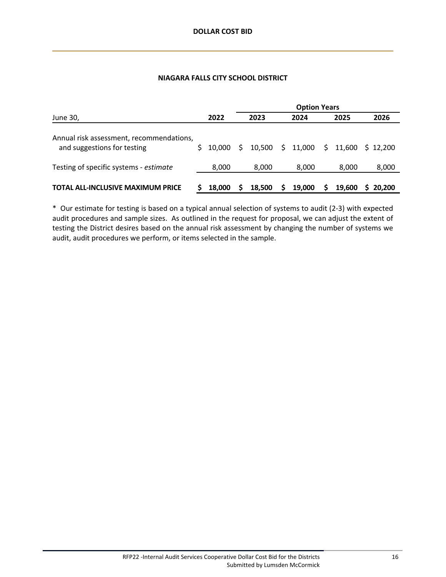# **NIAGARA FALLS CITY SCHOOL DISTRICT**

|                                                                         |  |          | <b>Option Years</b> |        |      |          |      |        |          |  |  |  |
|-------------------------------------------------------------------------|--|----------|---------------------|--------|------|----------|------|--------|----------|--|--|--|
| June 30,                                                                |  | 2022     |                     | 2023   | 2024 |          | 2025 |        | 2026     |  |  |  |
| Annual risk assessment, recommendations,<br>and suggestions for testing |  | \$10,000 | Ŝ.                  | 10,500 |      | \$11,000 | \$.  | 11.600 | \$12.200 |  |  |  |
| Testing of specific systems - estimate                                  |  | 8,000    |                     | 8,000  |      | 8,000    |      | 8,000  | 8,000    |  |  |  |
| <b>TOTAL ALL-INCLUSIVE MAXIMUM PRICE</b>                                |  | 18,000   | S                   | 18.500 |      | 19,000   | S    | 19.600 | 20,200   |  |  |  |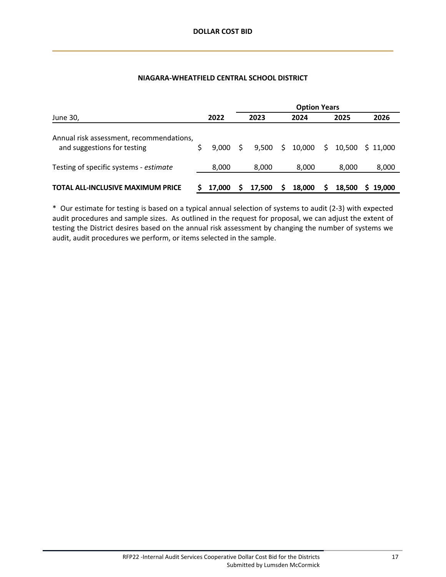# **NIAGARA‐WHEATFIELD CENTRAL SCHOOL DISTRICT**

|                                                                         |      |        | <b>Option Years</b> |        |      |        |      |        |          |  |  |  |
|-------------------------------------------------------------------------|------|--------|---------------------|--------|------|--------|------|--------|----------|--|--|--|
| June 30,                                                                | 2022 |        | 2023                |        | 2024 |        | 2025 |        | 2026     |  |  |  |
| Annual risk assessment, recommendations,<br>and suggestions for testing |      | 9.000  | Ŝ.                  | 9,500  | \$   | 10,000 | S.   | 10.500 | S 11.000 |  |  |  |
| Testing of specific systems - estimate                                  |      | 8,000  |                     | 8,000  |      | 8,000  |      | 8,000  | 8,000    |  |  |  |
| <b>TOTAL ALL-INCLUSIVE MAXIMUM PRICE</b>                                |      | 17.000 | S                   | 17,500 |      | 18,000 |      | 18,500 | 19.000   |  |  |  |